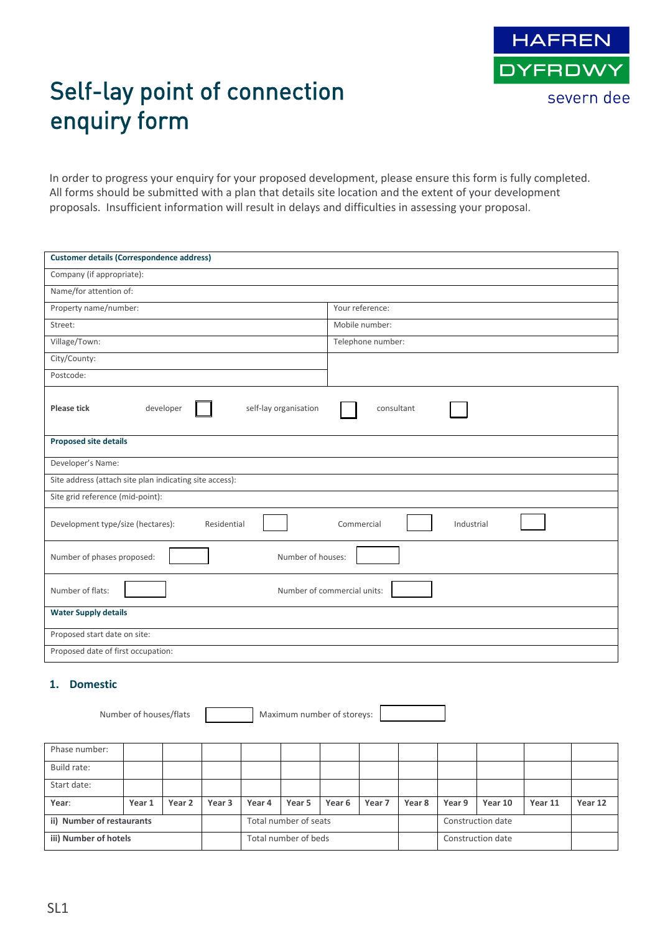

# Self-lay point of connection enquiry form

In order to progress your enquiry for your proposed development, please ensure this form is fully completed. All forms should be submitted with a plan that details site location and the extent of your development proposals. Insufficient information will result in delays and difficulties in assessing your proposal.

| <b>Customer details (Correspondence address)</b>        |                             |  |
|---------------------------------------------------------|-----------------------------|--|
| Company (if appropriate):                               |                             |  |
| Name/for attention of:                                  |                             |  |
| Property name/number:                                   | Your reference:             |  |
| Street:                                                 | Mobile number:              |  |
| Village/Town:                                           | Telephone number:           |  |
| City/County:                                            |                             |  |
| Postcode:                                               |                             |  |
| Please tick<br>developer<br>self-lay organisation       | consultant                  |  |
| <b>Proposed site details</b>                            |                             |  |
| Developer's Name:                                       |                             |  |
| Site address (attach site plan indicating site access): |                             |  |
| Site grid reference (mid-point):                        |                             |  |
| Development type/size (hectares):<br>Residential        | Commercial<br>Industrial    |  |
| Number of phases proposed:<br>Number of houses:         |                             |  |
| Number of flats:                                        | Number of commercial units: |  |
| <b>Water Supply details</b>                             |                             |  |
| Proposed start date on site:                            |                             |  |
| Proposed date of first occupation:                      |                             |  |

#### **1. Domestic**

|                       | Number of houses/flats    |        |        |                       | Maximum number of storeys: |                   |        |                   |        |         |         |         |
|-----------------------|---------------------------|--------|--------|-----------------------|----------------------------|-------------------|--------|-------------------|--------|---------|---------|---------|
| Phase number:         |                           |        |        |                       |                            |                   |        |                   |        |         |         |         |
| Build rate:           |                           |        |        |                       |                            |                   |        |                   |        |         |         |         |
| Start date:           |                           |        |        |                       |                            |                   |        |                   |        |         |         |         |
| Year:                 | Year 1                    | Year 2 | Year 3 | Year 4                | Year 5                     | Year <sub>6</sub> | Year 7 | Year 8            | Year 9 | Year 10 | Year 11 | Year 12 |
|                       | ii) Number of restaurants |        |        | Total number of seats |                            |                   |        | Construction date |        |         |         |         |
| iii) Number of hotels |                           |        |        | Total number of beds  |                            |                   |        | Construction date |        |         |         |         |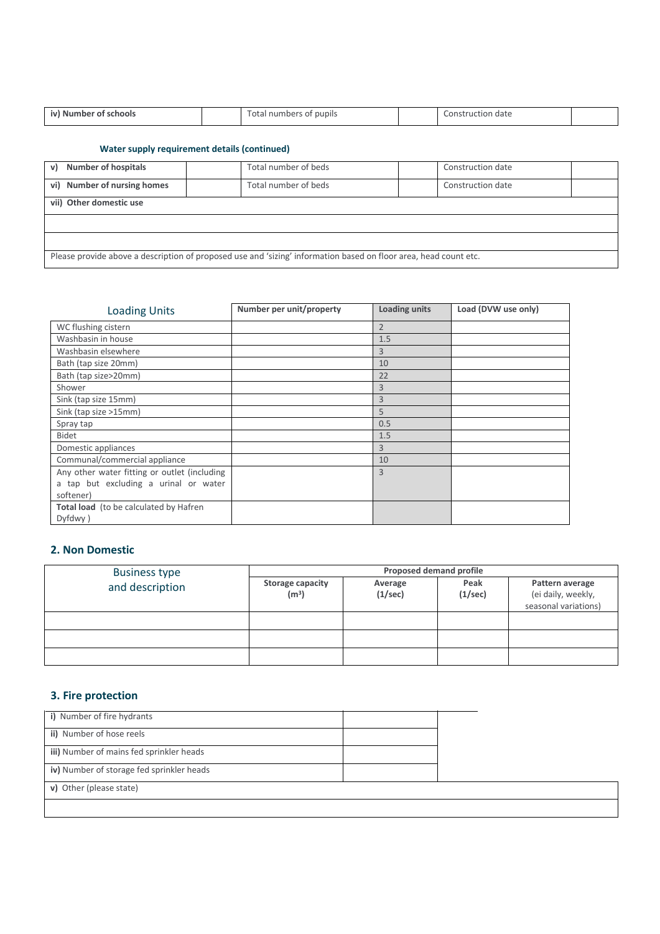| iv) Number of schools |  | Total numbers<br>'s of pupils |  | Construction<br>date י |  |
|-----------------------|--|-------------------------------|--|------------------------|--|
|-----------------------|--|-------------------------------|--|------------------------|--|

#### **Water supply requirement details (continued)**

| <b>Number of hospitals</b><br>$\mathsf{v}$                                                                       | Total number of beds | Construction date |  |
|------------------------------------------------------------------------------------------------------------------|----------------------|-------------------|--|
| vi) Number of nursing homes                                                                                      | Total number of beds | Construction date |  |
| vii) Other domestic use                                                                                          |                      |                   |  |
|                                                                                                                  |                      |                   |  |
|                                                                                                                  |                      |                   |  |
| Please provide above a description of proposed use and 'sizing' information based on floor area, head count etc. |                      |                   |  |

| <b>Loading Units</b>                         | Number per unit/property | <b>Loading units</b> | Load (DVW use only) |
|----------------------------------------------|--------------------------|----------------------|---------------------|
| WC flushing cistern                          |                          | $\overline{2}$       |                     |
| Washbasin in house                           |                          | 1.5                  |                     |
| Washbasin elsewhere                          |                          | 3                    |                     |
| Bath (tap size 20mm)                         |                          | 10                   |                     |
| Bath (tap size>20mm)                         |                          | 22                   |                     |
| Shower                                       |                          | 3                    |                     |
| Sink (tap size 15mm)                         |                          | $\overline{3}$       |                     |
| Sink (tap size >15mm)                        |                          | 5                    |                     |
| Spray tap                                    |                          | 0.5                  |                     |
| <b>Bidet</b>                                 |                          | 1.5                  |                     |
| Domestic appliances                          |                          | 3                    |                     |
| Communal/commercial appliance                |                          | 10                   |                     |
| Any other water fitting or outlet (including |                          | $\overline{3}$       |                     |
| a tap but excluding a urinal or water        |                          |                      |                     |
| softener)                                    |                          |                      |                     |
| Total load (to be calculated by Hafren       |                          |                      |                     |
| Dyfdwy)                                      |                          |                      |                     |

### **2. Non Domestic**

| <b>Business type</b> | Proposed demand profile                      |                    |                 |                                                               |  |  |
|----------------------|----------------------------------------------|--------------------|-----------------|---------------------------------------------------------------|--|--|
| and description      | <b>Storage capacity</b><br>(m <sup>3</sup> ) | Average<br>(1/sec) | Peak<br>(1/sec) | Pattern average<br>(ei daily, weekly,<br>seasonal variations) |  |  |
|                      |                                              |                    |                 |                                                               |  |  |
|                      |                                              |                    |                 |                                                               |  |  |
|                      |                                              |                    |                 |                                                               |  |  |

## **3. Fire protection**

| i) Number of fire hydrants                |  |
|-------------------------------------------|--|
| ii) Number of hose reels                  |  |
| iii) Number of mains fed sprinkler heads  |  |
| iv) Number of storage fed sprinkler heads |  |
| v) Other (please state)                   |  |
|                                           |  |